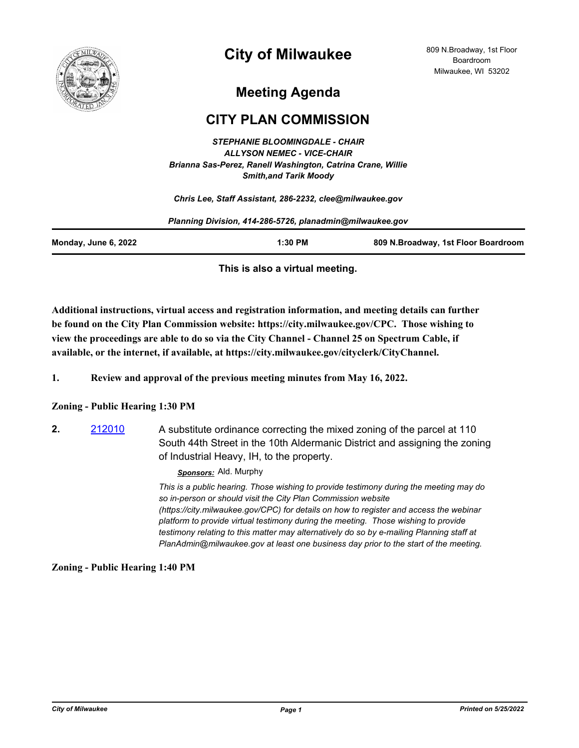

# **City of Milwaukee**

## **Meeting Agenda**

## **CITY PLAN COMMISSION**

*STEPHANIE BLOOMINGDALE - CHAIR ALLYSON NEMEC - VICE-CHAIR Brianna Sas-Perez, Ranell Washington, Catrina Crane, Willie Smith,and Tarik Moody*

*Chris Lee, Staff Assistant, 286-2232, clee@milwaukee.gov*

| Planning Division, 414-286-5726, planadmin@milwaukee.gov |           |                                     |
|----------------------------------------------------------|-----------|-------------------------------------|
| Monday, June 6, 2022                                     | $1:30$ PM | 809 N.Broadway, 1st Floor Boardroom |

**This is also a virtual meeting.**

**Additional instructions, virtual access and registration information, and meeting details can further be found on the City Plan Commission website: https://city.milwaukee.gov/CPC. Those wishing to view the proceedings are able to do so via the City Channel - Channel 25 on Spectrum Cable, if available, or the internet, if available, at https://city.milwaukee.gov/cityclerk/CityChannel.**

**1. Review and approval of the previous meeting minutes from May 16, 2022.**

### **Zoning - Public Hearing 1:30 PM**

**2.** [212010](http://milwaukee.legistar.com/gateway.aspx?m=l&id=/matter.aspx?key=61941) A substitute ordinance correcting the mixed zoning of the parcel at 110 South 44th Street in the 10th Aldermanic District and assigning the zoning of Industrial Heavy, IH, to the property.

#### *Sponsors:* Ald. Murphy

*This is a public hearing. Those wishing to provide testimony during the meeting may do so in-person or should visit the City Plan Commission website (https://city.milwaukee.gov/CPC) for details on how to register and access the webinar platform to provide virtual testimony during the meeting. Those wishing to provide testimony relating to this matter may alternatively do so by e-mailing Planning staff at PlanAdmin@milwaukee.gov at least one business day prior to the start of the meeting.*

### **Zoning - Public Hearing 1:40 PM**